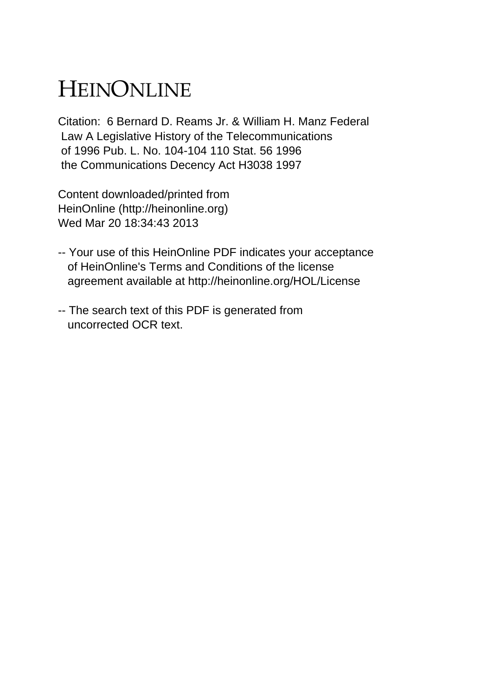# HEINONLINE

Citation: 6 Bernard D. Reams Jr. & William H. Manz Federal Law A Legislative History of the Telecommunications of 1996 Pub. L. No. 104-104 110 Stat. 56 1996 the Communications Decency Act H3038 1997

Content downloaded/printed from HeinOnline (http://heinonline.org) Wed Mar 20 18:34:43 2013

- -- Your use of this HeinOnline PDF indicates your acceptance of HeinOnline's Terms and Conditions of the license agreement available at http://heinonline.org/HOL/License
- -- The search text of this PDF is generated from uncorrected OCR text.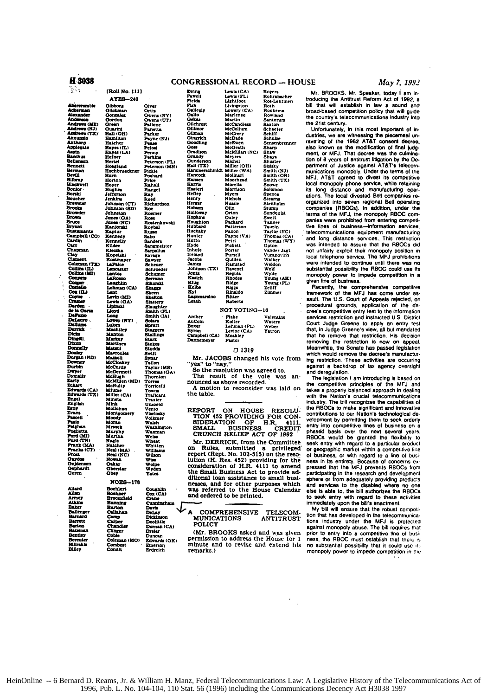## H-3038

#### Cistoria.<br>Città

## **CONGRESSIONAL RECORD - HOUSE**

nas (CA)<br>nas (CA)<br>nas (WY)

enbrennes

.<br>Arcromble auurcromo<br>Ackerman<br>Anderson Anderson<br>Andrews (NJ)<br>Andrews (NJ)<br>Annunsio<br>Annunsio<br>Anthony Aonierate Aspin<br>Bacchus Beilens œ Bennett Berman<br>Berman<br>Bilbray<br>Blackwell Bonior<br>Boraki<br>Boucher Brewster<br>Brooks **Srooms**<br>Brown<br>Brown<br>Bryant<br>Bustama ante Campbell (CO) ີ້ Chanman Clay<br>Clen .<br>Name  $Coleman(TX)$ Coleman (TX<br>Collins (IL)<br>Collins (MI)<br>Congerr<br>Congerr<br>Conger<br>Contello<br>Corne<br>Cramer<br>Darden Darian<br>Asia Darian<br>Asia Darian<br>Darian<br>Darian<br>Darian<br>Darian<br>Darian<br>Darian<br>Darian<br>Darian<br>Darian<br>Darian<br>Darian<br>Darian<br>Darian<br>Darian<br>Darian<br>Darian<br>Darian<br>Darian<br>Darian<br>Darian<br>Darian<br>Darian<br>Darian<br>Darian<br>Darian<br>Darian<br>Darian<br>Da **Fascell<br>Fasio<br>Feighan<br>Ford (MI)<br>Ford (TN) Frank (MA)**<br>Franks (CT)<br>Prost Prost<br>Gejdensor<br>Gejdensor<br>Gephardt<br>Geren

**Allard<br>Allen<br>Armey<br>Atkins** 

Baker<br>Ballenger

Barnard

Barrett<br>Barton

Bateman<br>Bentley

Bereuter<br>Bilirakis

 $\frac{1}{t}$ 

[Roll No. 111] **AVER** 240 Gibbons **Civer** Olver<br>Ortis<br>Owens (NY)<br>Owens (UT)<br>Pallone<br>Panetta<br>Parker onome<br>Olickman **Gintania**<br>Gonzalez<br>Green Guarini<br>Hall (OH)<br>Hamilton Parker<br>Payne (NJ)<br>Pease<br>Pelod<br>Penny<br>Perkins<br>Peterson (PL).<br>Peterson (MN) Hatcher Hayes (IL)<br>Hayes (LA) **Hefner** nemer<br>Hertel<br>Hoagland<br>Hochbrueck **Dick's** Horn<br>Horton ricana<br>Price Horton<br>Hoyer<br>Hughes<br>Jefferson rnee<br>Rahall rannel<br>Rangel<br>Reference<br>Romer<br>Romer<br>Romer<br>Romer<br>Romer<br>Romer<br>Samplius<br>Samplius<br>Samplius<br>Samplius<br>Samplius<br>Samplius<br>Samplius<br>Samplius<br>Samplius<br>Samplius<br>Samplius<br>Samplius<br>Samplius<br>Samplius<br>Samplius<br>Samplius<br>Samplius<br>Samplius<br> Jenkins Jening (T)<br>Johnson (C))<br>Johnson (C))<br>Johnson (C))<br>Johnson (C))<br>Johnson (C))<br>Johnson (C))<br>Johnson (C))<br>Johnson (C)<br>Markon (C))<br>Karlon (K))<br>London (K))<br>London (K))<br>London (K))<br>London (K))<br>London (K))<br>Markon Markon (K))<br>Marko **Slattery** Slaughter<br>Smith (FL)<br>Smith (IA) **Smith (1)**<br>Solars<br>Spratt<br>Staggern<br>Stallings<br>Stadds<br>Studds<br>Swift Synar<br>Tallon Tailon<br>Taylor (MS)<br>Thomas (GA)<br>Thornton Torres<br>Torricelli curred<br>Towns<br>Tradicant Unioned<br>Tradicant<br>Unioned<br>Vision<br>Walthington<br>Walthington<br>Walthington<br>Walthington<br>Walthington<br>Walthington<br>Walthington<br>Walthington<br>Walthington<br>Walthington<br>Walthington<br>Walthington<br>Walthington

#### NOES-178

Coughlin<br>Cox (CA)<br>Crane<br>Cumingham<br>Data<br>Delay<br>Delay<br>Doolittie<br>Dreir<br>Capter<br>Company<br>Experience<br>Experience (OK)<br>Experience (OK)<br>Experience (OK)<br>Experience (OK)<br>Experience (OK) **Boehlert<br>Boehner<br>Broomfield<br>Bunning** Burton<br>Callahan Camp<br>Camp<br>Carper<br>Chandler Clinger<br>Coble<br>Coleman (MO)  $(OK)$ Combest  $C_{\text{max}}$ 

| Ewing                    | Lewis (CA)    | Rosen              |
|--------------------------|---------------|--------------------|
| Pawell                   | Lewis (FL)    | Rohrabacher        |
| Pielda                   | Lightfoot     | Ros-Lehtiner       |
| Fish                     | Livingston    | Roth               |
| Gallegly                 | Lowery (CA)   | Roukema            |
| Gallo                    | Marienee      | Rowland            |
| Gekaa                    | Martin        | Santorum           |
| <b>Gilchrest</b>         | McCandiess    | Saxton             |
| Gillmor                  | McCollum      | Schaeler           |
| <b>Oilman</b>            | McCrery       | Schiff             |
| <b>Oingrich</b>          | McDade        | <b>Bchulze</b>     |
| Goodling                 | McEwen        | <b>Bensenbrenn</b> |
| Goss                     | McGrath       | Sharp              |
| Gradison                 | McMillan (NC) | Bhaw               |
| Grandy                   | Meyers        | Shaya              |
| Gunderson                | Michel        | Shuster            |
| HAII (TX)                | Miller (OH)   | <b>Bisisky</b>     |
| Hammerschmidt Müler (WA) |               | Smith (NJ)         |
| Hancock                  | Molinari      | Smith (OR)         |
| Hansen                   | Moorhead      | Smith (TX)         |
| Harris                   | Morella       | <b>Snowe</b>       |
| Hastert                  | Morrison      | <b>Solomon</b>     |
| Hefley<br>$\sim$         | Myers         | <b>Spence</b>      |
| Henry                    | Nichols       | <b>Stearns</b>     |
| Herger                   | Nussie        | Stenholm           |
| Hobson                   | Olin          | Stump              |
| Holloway                 | Orton         | <b>Bundquist</b>   |
| Hopkins                  | Oxley         | Swett              |
| Houghton                 | Packard       | Tanner             |
| Hubbard                  | Patterson     | Teuzin             |
| Huckaby                  | Paxon         | Taylor (NC)        |
| Hunter                   | Payne (VA)    | Thomas (CA         |
| Hutto                    | Petri         | Thomas (W)         |
| Hyde                     | Pickett       | Upton              |
| inhofe                   | Porter        | Vander Jagt        |
| Ireland                  | Pursell       | Vucanovich         |
| Jacobs                   | Quillen       | Walker             |
| James                    | Ramstad       | Weldon             |
| Johnson (TX)             | Ravenel       | Wolf               |
| Jonts                    | Regula        | Wylle              |
| Kasich                   | Rhodes        | Young (AK)         |
| <b>Klus</b>              | Ridge         | Young (FL)         |
| Kolbe                    | Riggs         | Zeliff             |
| Kyl                      | Rinaldo       | Zimmer             |
| Lagomarsino              | Ritter        |                    |
| Leach                    | Roberts       |                    |
| NOT VOTING—16            |               |                    |
| Archer                   | Plake         | Valentine          |
| <b>AuCoin</b>            | Kolter        |                    |
| Boxer                    | Lehman (FL)   | Waters             |
| Byron                    | Levine (CA)   | Weber<br>Yatron    |
| Campbell (CA)            | Moakley       |                    |
| Dannemeyer               | Pastor        |                    |
|                          |               |                    |
| $\square$ 1319           |               |                    |

Mr. JACOBS changed his vote from<br>"yea" to "nay."<br>So the resolution was agreed to.

The result of the vote was an-<br>nounced as above recorded.

A motion to reconsider was laid on the table

REPORT ON HOUSE RESOLUMITION 452 PROVIDING FOR CONSIDERATION OF H.R. 4111, 2011 SMALL BUSINESS CRUNCH RELIEF ACT OF 1992

Mr. DERRICK, from the Committee Mr. DERRICK, from the Committee<br>on Rules, submitted a privileged<br>report (Rept. No. 102-515) on the reso-<br>lution (H. Res. 452) providing for the<br>consideration of H.R. 4111 to amend<br>the Small Business Act to provide additional loan assistance to small businesses, and for other purposes which<br>was referred to the House Calendar and ordered to be printed.

 $\downarrow$ <sub>A</sub> COMPREHENSIVE TELECOM-**MUNICATIONS ANTITRUST** POLICY

(Mr. BROOKS asked and was given permission to address the House for 1 minute and to revise and extend his remarks.)

Mr. BROOKS. Mr. Speaker, today I am introducing the Antitrust Reform Act of 1992, a<br>bill that will establish in law a sound and broad-based competition policy that will guide the country's telecommunications industry into the 21st century.

Unfortunately, in this most important of industries, we are witnessing the plecement university of the 1982 AT&T consent decree,<br>raveling of the 1982 AT&T consent decree,<br>also known as the modification of final judgment, or MFJ. That decree was the culmination of 8 years of antitrust litigation by the De-<br>partment of Justice against AT&T's telecommunications monopoly. Under the terms of the MFJ. AT&T agreed to divest its competitive local monopoly phone service, while retaining its long distance and manufacturing operations. The local divested Bell companies reations. The local towers regional Bell operating<br>corparized into seven regional Bell operating<br>companies (RBOCs). In addition, under the<br>terms of the MFJ, the monopoly RBOC com-<br>parines were prohibited from entering compet telecommunications equipment manufacturing and long distance services. This restriction<br>was intended to assure that the RBOCs did not unfairly exploit their monopoly position in local telephone service. The MFJ prohibitions<br>were intended to continue until there was no substantial possibility the RBOC could use its monopoly power to impede competition in a<br>given line of business.

Recently, the comprehensive competitive<br>framework of the MFJ has come under assault. The U.S. Court of Appeals rejected, on procedural grounds, application of the decree's competitive entry test to the information services restriction and instructed U.S. District Court Judge Greene to apply an entry test that, in Judge Greene's view, all but mandated that he remove that restriction. His decision removing the restriction is now on appeal. Meanwhile, the Senate has passed legislation which would remove the decree's manufacturing restriction. These activities are occurring against a backdrop of lax agency oversight and deregulation.

The legislation I am introducing is based on the competitive principles of the MFJ and takes a properly balanced approach in dealing with the Nation's crucial telecommunications<br>industry. The bill recognizes the capabilities of the RBOCs to make significant and innovative<br>contributions to our Nation's technological development by permitting them to seek orderly<br>entry into competitive lines of business on a phased basis over the next several years.<br>RBOCs would be granted the flexibility to seek entry with regard to a particular product or geographic market within a competitive line<br>of business, or with regard to a line of business in its entirety. Because of concerns ex-<br>pressed that the MFJ prevents REOCs from participating in the research and development sphere or from adequately providing products<br>and services to the disabled where no one else is able to, the bill authorizes the RBOCs<br>to seek entry with regard to these activities immediately upon the bill's enactment.<br>My bill will ensure that the robust competi-

tion that has developed in the telecommunications industry under the MFJ is protected<br>against monopoly abuse. The bill requires that prior to entry into a competitive the of business, the RBOC must ostablish that there is no substantial possibility that it could use its monopoly power to impede competition in the

May 7. 1992

HeinOnline -- 6 Bernard D. Reams, Jr. & William H. Manz, Federal Telecommunications Law: A Legislative History of the Telecommunications Act of 1996, Pub. L. No. 104-104, 110 Stat. 56 (1996) including the Communications Decency Act H3038 1997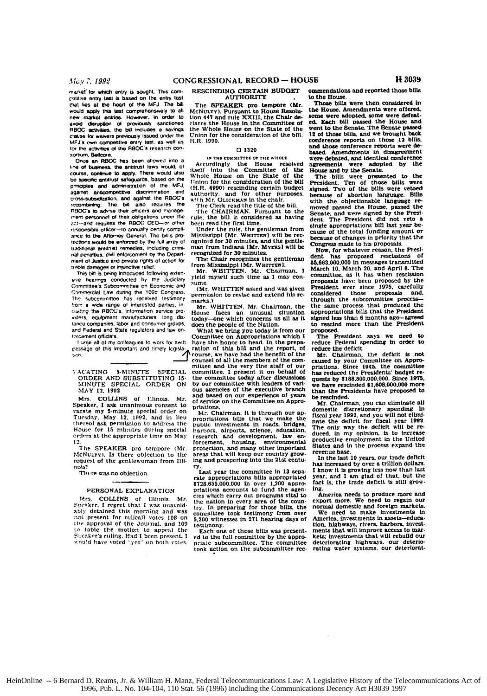market for which gotty is sought. This comnetitive entry test is based on the entry test that lies at the heart of the MFJ. The bill would apply this test comprehensively to all new market entries. However, in order to<br>avoid disruption of previously sanctioned RBOC activities, the bill includes a savings clause for waivers previously issued under the MFJ's own competitive entry test, as well as for the activities of the RBOC's research consortium. Belicore.

Once an RBOC has been allowed into a line of business, the antitrust laws would, of course, continue to apply. There would also be specific antitrust sateguards, based on the principles and administration of the MFJ, against anticompetitive discrimination and cross-subsidization, and against the RBOC's PSOC's to advise their officers and management personnel of their obligations under the act-and requires the RBOC CEO-or other responsible officer-to annually certify compliance to the Altorney General. The bill's protections would be enforced by the full array of traditional antitrist remedies, including criminal penalties, civil enforcement by the Department of Justice and private rights of action for treble damages or imunctive relief

This bill is being introduced following extensive hearings conducted by the Judiciary<br>Committee's Subcommittee on Economic and Commercial Law during the 102d Congress The subcommittee has received testimony<br>from a wide range of interested parties, including the RBOC's, information service providers, equipment manufacturers, long distance companies, tabor and consumer groups. and Federal and State regulators and law enforcament officials.

text-direct uniques.<br>I urge all of my colleagues to work for swift<br>passage of this important and timely legislaivon

VACATING 5-MINUTE SPECIAL ORDER AND SUBSTITUTING 15-MINUTE SPECIAL ORDER ON MAY 12, 1992

Mrs. COLLINS of Illinois. Mr. Speaker, I ask unanimous consent to<br>vacate my 5-minute special order on Tuesday, May 12, 1992, and in lieu<br>thereof ask permission to address the<br>House for 15 minutes during special orders at the appropriate time on May 12

The SPEAKER pro tempore (Mr. McNuLrv). Is there objection to the request of the gentlewoman from Illinois?

There was no objection.

## PERSONAL EXPLANATION

Mrs. COLLINS of Illinois. Mr. Speaker, I regret that I was unavoidably detained this morning and was not present for rollcall votes 108 on the approval of the Journal, and 109 to table the motion to appeal the<br>Sucaker's ruling. Had I been present, I would have voted "yes" on both votes.

#### RESCINDING CERTAIN BUDGET **AUTHORITY**

The SPEAKER pro tempore (Mr. McNULTY). Pursuant to House Resolution 447 and rule XXIII, the Chair dethe Whole House on the State of the Union for the consideration of the bill, H.R. 1990.

### $f11320$

IN THE COMMITTEE OF THE WHOLE Accordingly the House resolved<br>itself into the Committee of the

Whole House on the State of the Union for the consideration of the bill (H.R. 4990) rescinding certain budget authority, and for other purposes, with Mr. GLICKMAN in the chair.

The Clerk read the title of the bill.<br>The CHAIRMAN. Pursuant to the rule, the bill is considered as having<br>been read the first time.

Under the rule, the gentleman from<br>Mississippi [Mr, WHITTEN] will be recognized for 30 minutes, and the gentleman from Indiana (Mr. Myggs) will be recognized for 30 minutes.

The Chair recognizes the gentleman<br>from Mississippi (Mr. WHITTEN).

Mr. WHITTEN. Mr. Chairman, I yield myself such time as I may consume.

(Mr. WHITTEN asked and was given permission to revise and extend his remarks.)

Mr. WHITTEN. Mr. Chairman, the House faces an unusual situation<br>today—one which concerns us all as it does the people of the Nation.

What we bring you today is from our<br>Committee on Appropriations which I have the honor to head. In the preparation of this bill and the report, of course, we have had the benefit of the<br>counsel of all the members of the committee and the very fine staff of our<br>committee. I present it on behalf of the committee today after discussions<br>by our committee with leaders of various agencies of the executive branch and based on our experience of years of service on the Committee on Appropriations.

Mr. Chairman, it is through our ap-<br>propriations bills that we make the public investments in roads, bridges, harbors, airports, science, education, research and development, law enforcement, housing, environmental<br>protection, and many other important areas that will keep our country growing and prospering into the 21st century.

Last year the committee in 13 separate appropriations bills appropriated<br>\$728,655,000,000 in over 1,200 appropriations accounts to fund the agencies which carry out programs vital to the nation in every area of the country. In preparing for those bills, the<br>committee took testimony from over 5,200 witnesses in 271 hearing days of testimony.

Each one of those bills was presented to the full committee by the appropriate subcommittee. The committeeers of the subcommittee.

ommendations and reported those bills to the House

Those hills were then considered in the House. Amendments were offered. some were adopted, some were defeated. Each bill passed the House and<br>went to the Senate. The Senate passed 12 of those bills, and we brought back conference reports on those 12 bills. and those conference reports were debated. Amendments in disagreement were debated, and identical conference agreements were adopted by the<br>House and by the Senate.

The bills were presented to the<br>President. Ten of those bills were<br>signed. Two of the bills were vetoed because of abortion language. **Bills** with the objectionable language removed passed the House, passed the Senate, and were signed by the President. The President did not veto a single appropriations bill last year because of the total funding amount or because of changes in priority that the Congress made to his proposal:

Now, for whatever reason, the President has proposed rescissions of<br>\$5,663,000,000 in messages transmitted March 10, March 20, and April 8. The committee as it has when rescission proposals have been proposed by the president ever since 1975, carefully<br>considered those proposals and,<br>through the subcommittee processthe same process that produced the<br>appropriations bills that the President signed less than 6 months ago-agreed to rescind more than the President proposed.

The President says we need to<br>reduce Federal spending in order to reduce the deficit.

exame and an<br>analytic characteristic conduct of the caused by your Committee on Appro-<br>priations. Since 1945, the committee<br>has reduced the Presidents' budget requests by \$188,800,000,000. Since 1975. re have rescinded \$1,608,000,000 more than the Presidents have proposed to be rescinded.

Mr. Chairman, you can eliminate all Mr. Charman, you can emission for the fiscal year 1992, and you will not eliminate the deficit for fiscal year 1992.<br>The only way the deficit will be reduced, in my opinion, is to increase<br>productive employment in the United States and in the process expand the revenue base.

In the last 10 years, our trade deficit has increased by over a trillion dollars. I know it is growing less now than last year, and I am glad of that, but the fact is, the trade deficit is still growing

America needs to produce more and export more. We need to regain our normal domestic and foreign markets.

We need to make investments in<br>America, investments in assets—education, highways, rivers, harbors, investments that will improve access to markets; investments that will rebuild our deteriorating highways, our deteriorating water systems, our deteriorat-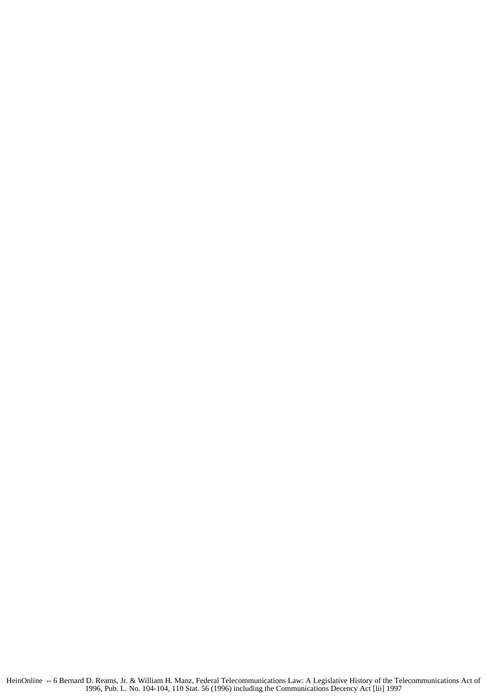HeinOnline -- 6 Bernard D. Reams, Jr. & William H. Manz, Federal Telecommunications Law: A Legislative History of the Telecommunications Act of 1996, Pub. L. No. 104-104, 110 Stat. 56 (1996) including the Communications Decency Act [lii] 1997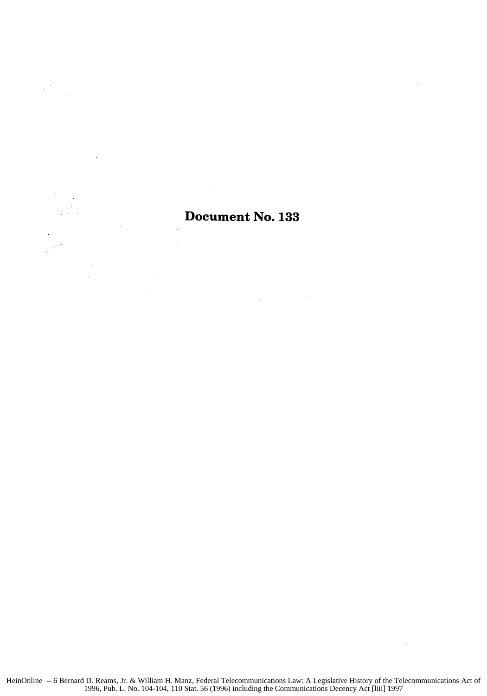## Document No. **133**

 $\bar{z}$ 

 $\chi(\lambda)$  .

 $\mathcal{L}_{\text{max}}$  and  $\mathcal{L}_{\text{max}}$ 

 $\bar{z}$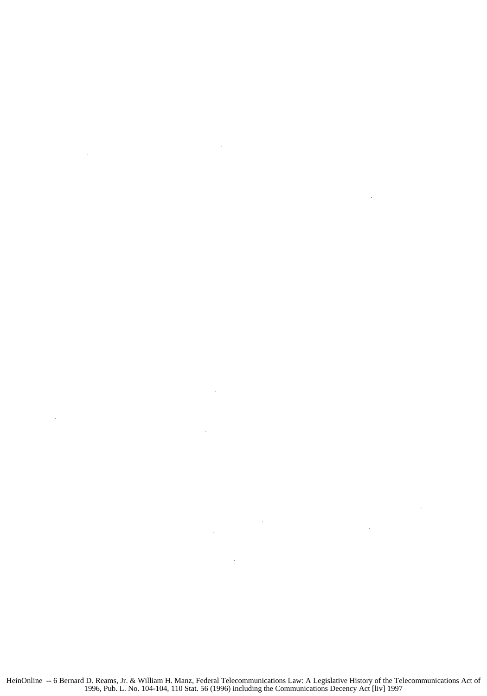HeinOnline -- 6 Bernard D. Reams, Jr. & William H. Manz, Federal Telecommunications Law: A Legislative History of the Telecommunications Act of 1996, Pub. L. No. 104-104, 110 Stat. 56 (1996) including the Communications Decency Act [liv] 1997

 $\bar{\beta}$  $\sim 10^{11}$  km  $\sim$ 

 $\mathcal{A}^{\mathcal{A}}$ 

 $\bar{z}$ 

 $\bar{z}$ 

l,

 $\ddot{\phantom{a}}$ 

 $\sim$   $\sim$ 

 $\bar{z}$